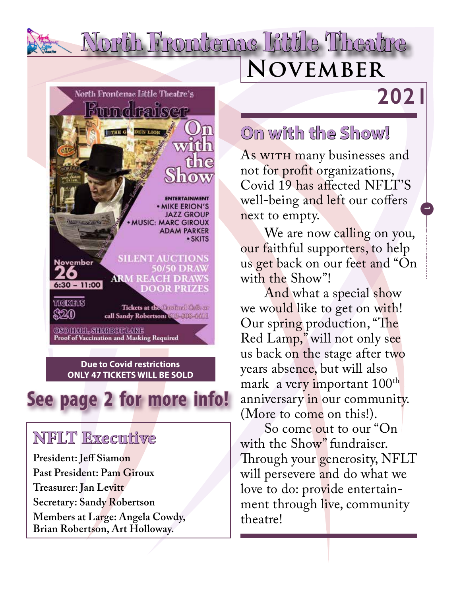# **November** North Frontenac Little Theatre

## **2021**

**1**

**Laoreet 0000**



# **See page 2 for more info!**

### **NFLT Executive**

**President: Jeff Siamon Past President: Pam Giroux Treasurer: Jan Levitt Secretary: Sandy Robertson Members at Large: Angela Cowdy, Brian Robertson, Art Holloway.**

### **On with the Show!**

As with many businesses and not for profit organizations, Covid 19 has affected NFLT'S well-being and left our coffers next to empty.

We are now calling on you, our faithful supporters, to help us get back on our feet and "On with the Show"!

And what a special show we would like to get on with! Our spring production, "The Red Lamp," will not only see us back on the stage after two years absence, but will also mark a very important 100<sup>th</sup> anniversary in our community. (More to come on this!).

So come out to our "On with the Show" fundraiser. Through your generosity, NFLT will persevere and do what we love to do: provide entertainment through live, community theatre!